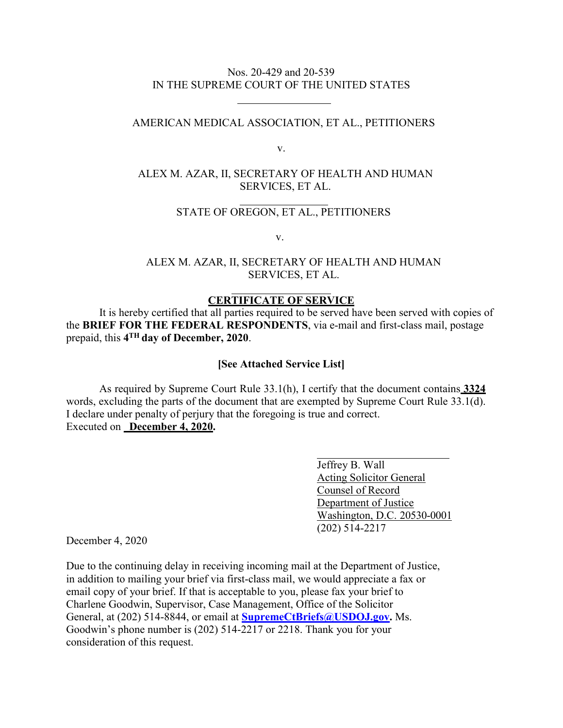## Nos. 20-429 and 20-539 IN THE SUPREME COURT OF THE UNITED STATES

## AMERICAN MEDICAL ASSOCIATION, ET AL., PETITIONERS

v.

# ALEX M. AZAR, II, SECRETARY OF HEALTH AND HUMAN SERVICES, ET AL.

## STATE OF OREGON, ET AL., PETITIONERS

v.

## ALEX M. AZAR, II, SECRETARY OF HEALTH AND HUMAN SERVICES, ET AL.

## **CERTIFICATE OF SERVICE**

It is hereby certified that all parties required to be served have been served with copies of the **BRIEF FOR THE FEDERAL RESPONDENTS**, via e-mail and first-class mail, postage prepaid, this **4TH day of December, 2020**.

#### **[See Attached Service List]**

As required by Supreme Court Rule 33.1(h), I certify that the document contains **3324**  words, excluding the parts of the document that are exempted by Supreme Court Rule 33.1(d). I declare under penalty of perjury that the foregoing is true and correct. Executed on **December 4, 2020.** 

> Jeffrey B. Wall Acting Solicitor General Counsel of Record Department of Justice Washington, D.C. 20530-0001 (202) 514-2217

December 4, 2020

Due to the continuing delay in receiving incoming mail at the Department of Justice, in addition to mailing your brief via first-class mail, we would appreciate a fax or email copy of your brief. If that is acceptable to you, please fax your brief to Charlene Goodwin, Supervisor, Case Management, Office of the Solicitor General, at (202) 514-8844, or email at **[SupremeCtBriefs@USDOJ.gov.](mailto:SupremeCtBriefs@USDOJ.gov)** Ms. Goodwin's phone number is (202) 514-2217 or 2218. Thank you for your consideration of this request.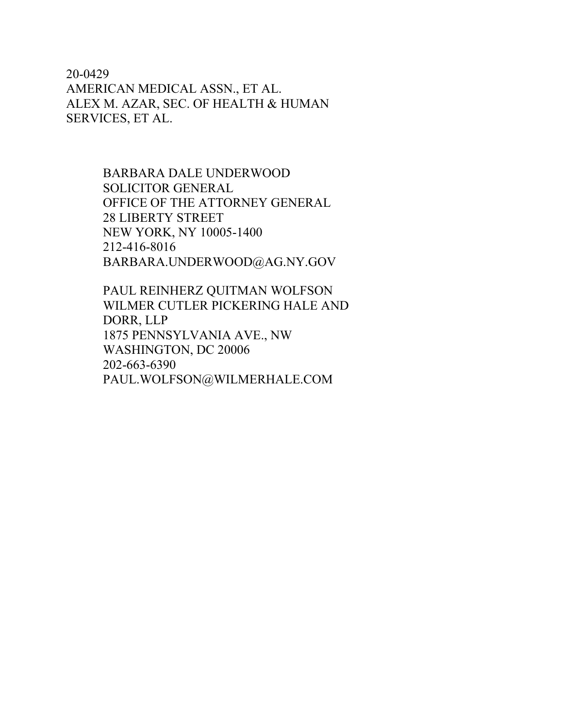20-0429 AMERICAN MEDICAL ASSN., ET AL. ALEX M. AZAR, SEC. OF HEALTH & HUMAN SERVICES, ET AL.

> BARBARA DALE UNDERWOOD SOLICITOR GENERAL OFFICE OF THE ATTORNEY GENERAL 28 LIBERTY STREET NEW YORK, NY 10005-1400 212-416-8016 [BARBARA.UNDERWOOD@AG.NY.GOV](mailto:BARBARA.UNDERWOOD@AG.NY.GOV)

PAUL REINHERZ QUITMAN WOLFSON WILMER CUTLER PICKERING HALE AND DORR, LLP 1875 PENNSYLVANIA AVE., NW WASHINGTON, DC 20006 202-663-6390 [PAUL.WOLFSON@WILMERHALE.COM](mailto:PAUL.WOLFSON@WILMERHALE.COM)